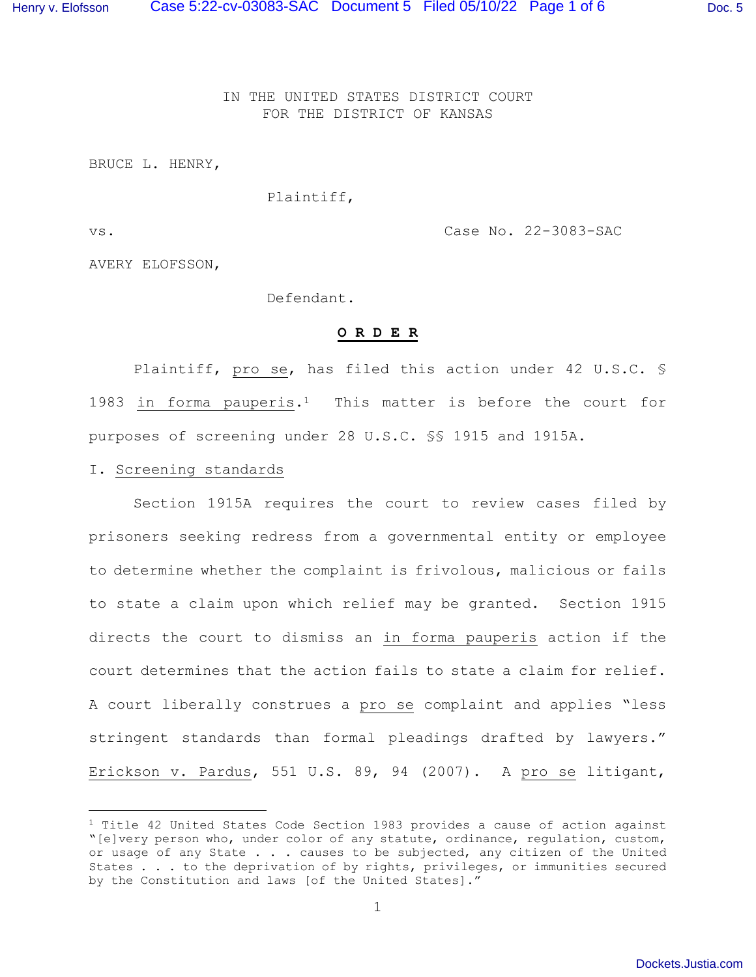IN THE UNITED STATES DISTRICT COURT FOR THE DISTRICT OF KANSAS

BRUCE L. HENRY,

### Plaintiff,

vs. Case No. 22-3083-SAC

AVERY ELOFSSON,

Defendant.

## **O R D E R**

Plaintiff, pro se, has filed this action under 42 U.S.C. § 1983 in forma pauperis.<sup>1</sup> This matter is before the court for purposes of screening under 28 U.S.C. §§ 1915 and 1915A.

## I. Screening standards

Section 1915A requires the court to review cases filed by prisoners seeking redress from a governmental entity or employee to determine whether the complaint is frivolous, malicious or fails to state a claim upon which relief may be granted. Section 1915 directs the court to dismiss an in forma pauperis action if the court determines that the action fails to state a claim for relief. A court liberally construes a pro se complaint and applies "less stringent standards than formal pleadings drafted by lawyers." Erickson v. Pardus, 551 U.S. 89, 94 (2007). A pro se litigant,

<sup>&</sup>lt;sup>1</sup> Title 42 United States Code Section 1983 provides a cause of action against "[e]very person who, under color of any statute, ordinance, regulation, custom, or usage of any State . . . causes to be subjected, any citizen of the United States . . . to the deprivation of by rights, privileges, or immunities secured by the Constitution and laws [of the United States]."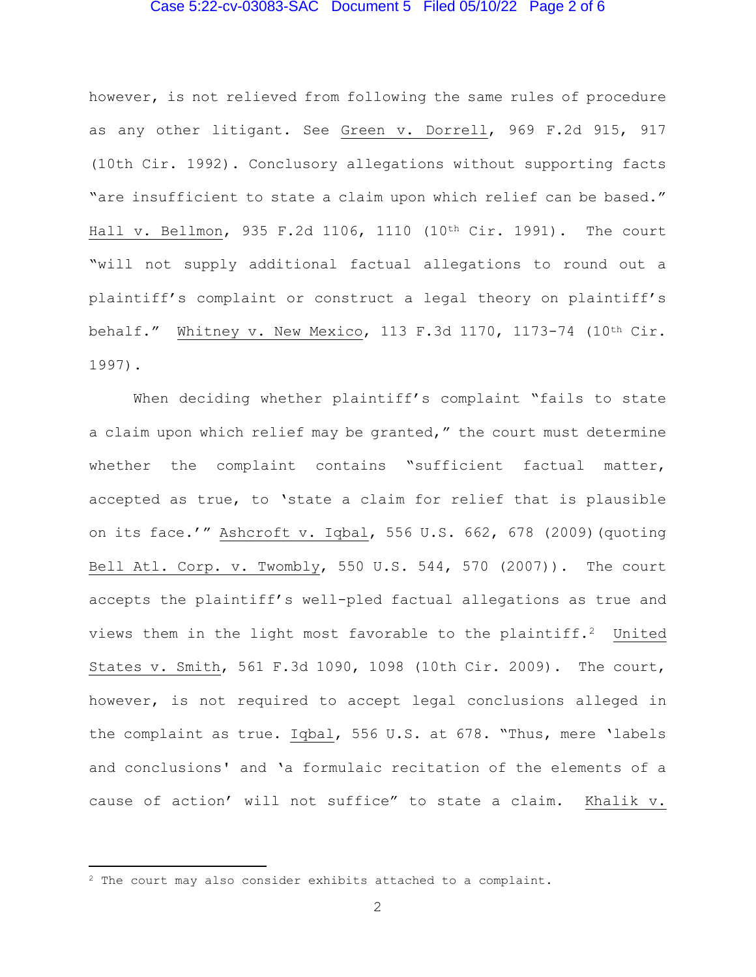## Case 5:22-cv-03083-SAC Document 5 Filed 05/10/22 Page 2 of 6

however, is not relieved from following the same rules of procedure as any other litigant. See Green v. Dorrell, 969 F.2d 915, 917 (10th Cir. 1992). Conclusory allegations without supporting facts "are insufficient to state a claim upon which relief can be based." Hall v. Bellmon, 935 F.2d 1106, 1110 (10th Cir. 1991). The court "will not supply additional factual allegations to round out a plaintiff's complaint or construct a legal theory on plaintiff's behalf." Whitney v. New Mexico, 113 F.3d 1170, 1173-74 (10th Cir. 1997).

 When deciding whether plaintiff's complaint "fails to state a claim upon which relief may be granted," the court must determine whether the complaint contains "sufficient factual matter, accepted as true, to 'state a claim for relief that is plausible on its face.'" Ashcroft v. Iqbal, 556 U.S. 662, 678 (2009)(quoting Bell Atl. Corp. v. Twombly, 550 U.S. 544, 570 (2007)). The court accepts the plaintiff's well-pled factual allegations as true and views them in the light most favorable to the plaintiff.<sup>2</sup> United States v. Smith, 561 F.3d 1090, 1098 (10th Cir. 2009). The court, however, is not required to accept legal conclusions alleged in the complaint as true. Iqbal, 556 U.S. at 678. "Thus, mere 'labels and conclusions' and 'a formulaic recitation of the elements of a cause of action' will not suffice" to state a claim. Khalik v.

<sup>2</sup> The court may also consider exhibits attached to a complaint.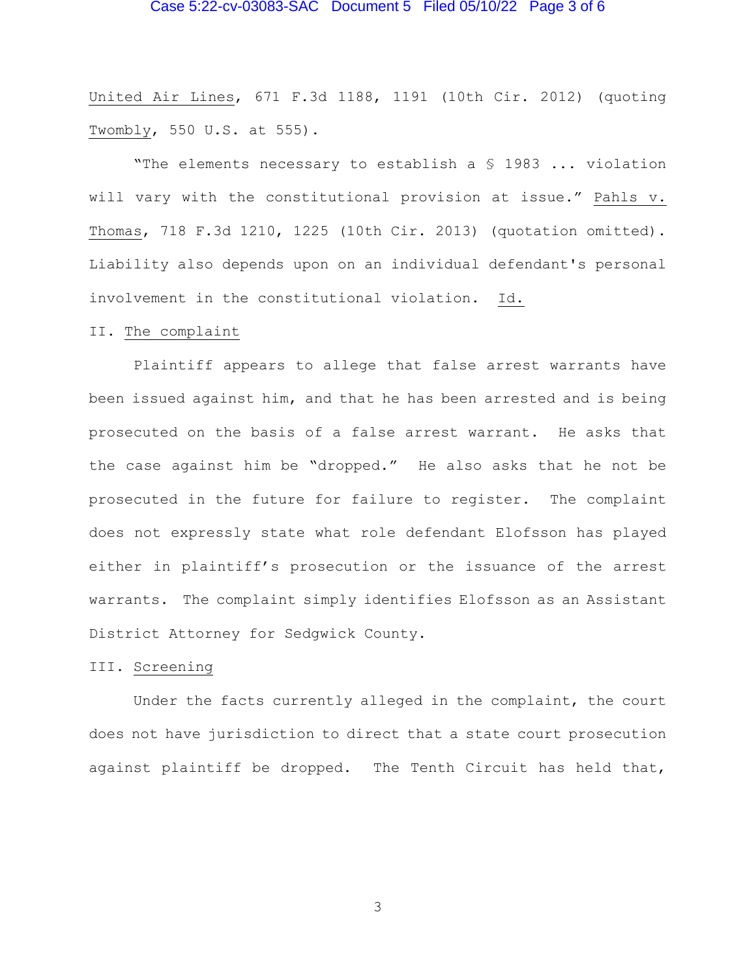# Case 5:22-cv-03083-SAC Document 5 Filed 05/10/22 Page 3 of 6

United Air Lines, 671 F.3d 1188, 1191 (10th Cir. 2012) (quoting Twombly, 550 U.S. at 555).

"The elements necessary to establish a § 1983 ... violation will vary with the constitutional provision at issue." Pahls v. Thomas, 718 F.3d 1210, 1225 (10th Cir. 2013) (quotation omitted). Liability also depends upon on an individual defendant's personal involvement in the constitutional violation. Id.

### II. The complaint

 Plaintiff appears to allege that false arrest warrants have been issued against him, and that he has been arrested and is being prosecuted on the basis of a false arrest warrant. He asks that the case against him be "dropped." He also asks that he not be prosecuted in the future for failure to register. The complaint does not expressly state what role defendant Elofsson has played either in plaintiff's prosecution or the issuance of the arrest warrants. The complaint simply identifies Elofsson as an Assistant District Attorney for Sedgwick County.

#### III. Screening

 Under the facts currently alleged in the complaint, the court does not have jurisdiction to direct that a state court prosecution against plaintiff be dropped. The Tenth Circuit has held that,

3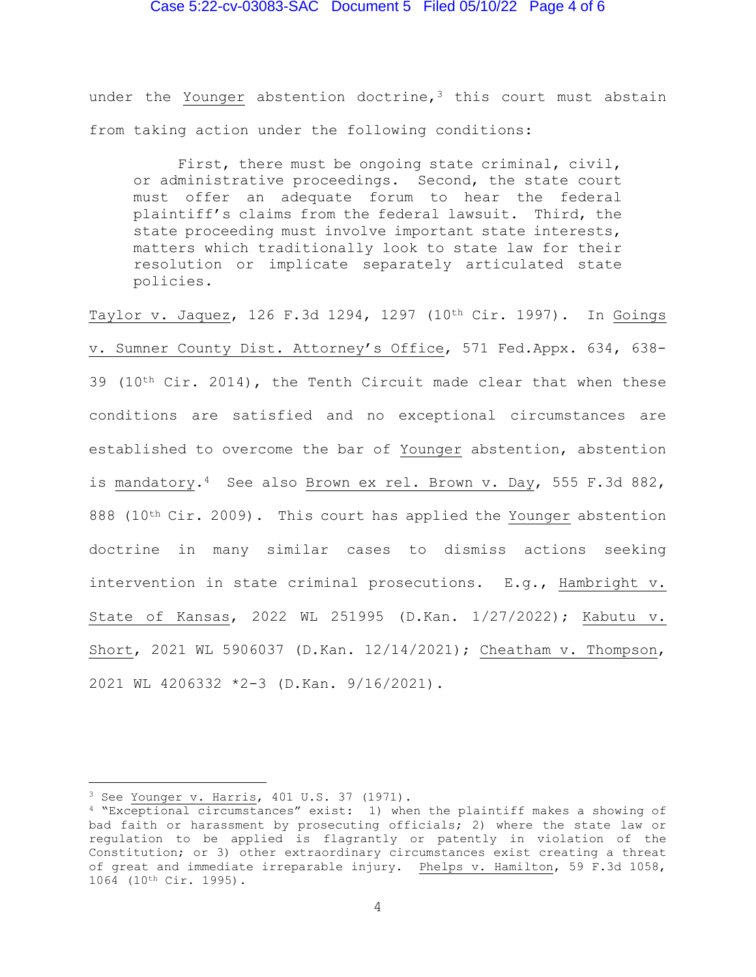## Case 5:22-cv-03083-SAC Document 5 Filed 05/10/22 Page 4 of 6

under the Younger abstention doctrine, $3$  this court must abstain from taking action under the following conditions:

 First, there must be ongoing state criminal, civil, or administrative proceedings. Second, the state court must offer an adequate forum to hear the federal plaintiff's claims from the federal lawsuit. Third, the state proceeding must involve important state interests, matters which traditionally look to state law for their resolution or implicate separately articulated state policies.

Taylor v. Jaquez, 126 F.3d 1294, 1297 (10th Cir. 1997). In Goings v. Sumner County Dist. Attorney's Office, 571 Fed.Appx. 634, 638- 39 (10<sup>th</sup> Cir. 2014), the Tenth Circuit made clear that when these conditions are satisfied and no exceptional circumstances are established to overcome the bar of Younger abstention, abstention is mandatory.<sup>4</sup> See also Brown ex rel. Brown v. Day, 555 F.3d 882, 888 (10<sup>th</sup> Cir. 2009). This court has applied the Younger abstention doctrine in many similar cases to dismiss actions seeking intervention in state criminal prosecutions. E.g., Hambright v. State of Kansas, 2022 WL 251995 (D.Kan. 1/27/2022); Kabutu v. Short, 2021 WL 5906037 (D.Kan. 12/14/2021); Cheatham v. Thompson, 2021 WL 4206332 \*2-3 (D.Kan. 9/16/2021).

<sup>3</sup> See Younger v. Harris, 401 U.S. 37 (1971).

<sup>4</sup> "Exceptional circumstances" exist: 1) when the plaintiff makes a showing of bad faith or harassment by prosecuting officials; 2) where the state law or regulation to be applied is flagrantly or patently in violation of the Constitution; or 3) other extraordinary circumstances exist creating a threat of great and immediate irreparable injury. Phelps v. Hamilton, 59 F.3d 1058, 1064 (10th Cir. 1995).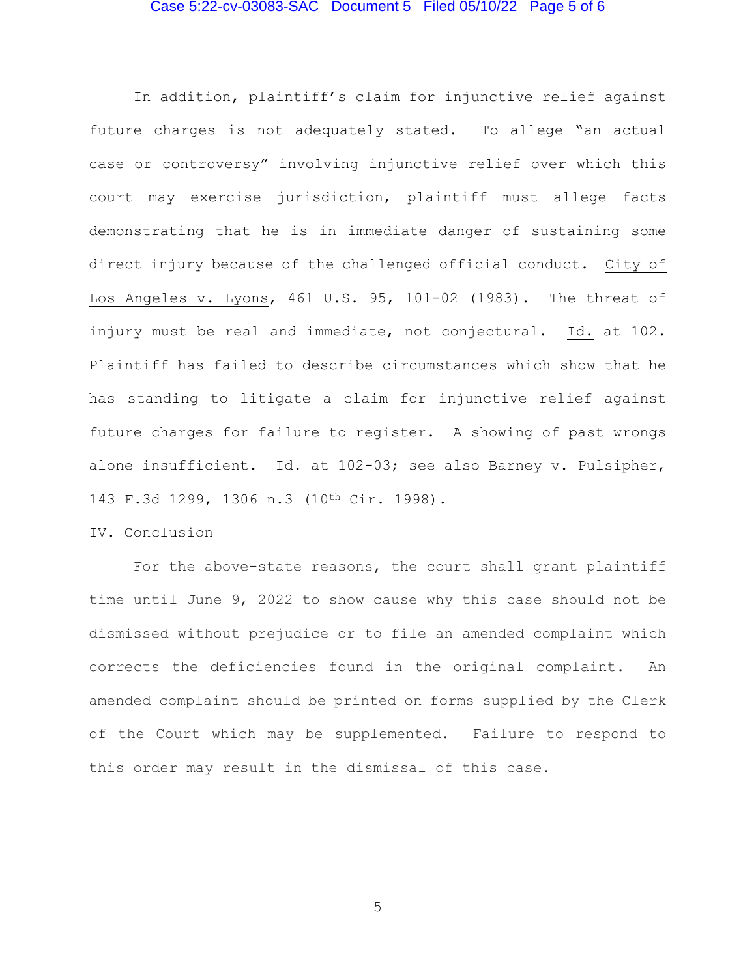# Case 5:22-cv-03083-SAC Document 5 Filed 05/10/22 Page 5 of 6

 In addition, plaintiff's claim for injunctive relief against future charges is not adequately stated. To allege "an actual case or controversy" involving injunctive relief over which this court may exercise jurisdiction, plaintiff must allege facts demonstrating that he is in immediate danger of sustaining some direct injury because of the challenged official conduct. City of Los Angeles v. Lyons, 461 U.S. 95, 101-02 (1983). The threat of injury must be real and immediate, not conjectural. Id. at 102. Plaintiff has failed to describe circumstances which show that he has standing to litigate a claim for injunctive relief against future charges for failure to register. A showing of past wrongs alone insufficient. Id. at 102-03; see also Barney v. Pulsipher, 143 F.3d 1299, 1306 n.3 (10th Cir. 1998).

## IV. Conclusion

For the above-state reasons, the court shall grant plaintiff time until June 9, 2022 to show cause why this case should not be dismissed without prejudice or to file an amended complaint which corrects the deficiencies found in the original complaint. An amended complaint should be printed on forms supplied by the Clerk of the Court which may be supplemented. Failure to respond to this order may result in the dismissal of this case.

5